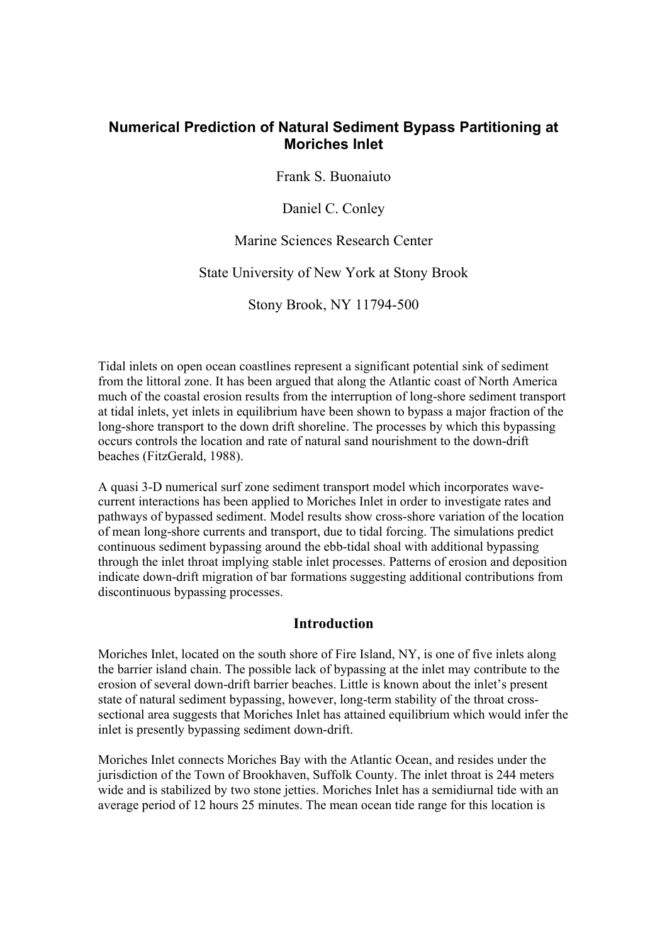# **Numerical Prediction of Natural Sediment Bypass Partitioning at Moriches Inlet**

Frank S. Buonaiuto

Daniel C. Conley

Marine Sciences Research Center

State University of New York at Stony Brook

Stony Brook, NY 11794-500

Tidal inlets on open ocean coastlines represent a significant potential sink of sediment from the littoral zone. It has been argued that along the Atlantic coast of North America much of the coastal erosion results from the interruption of long-shore sediment transport at tidal inlets, yet inlets in equilibrium have been shown to bypass a major fraction of the long-shore transport to the down drift shoreline. The processes by which this bypassing occurs controls the location and rate of natural sand nourishment to the down-drift beaches (FitzGerald, 1988).

A quasi 3-D numerical surf zone sediment transport model which incorporates wavecurrent interactions has been applied to Moriches Inlet in order to investigate rates and pathways of bypassed sediment. Model results show cross-shore variation of the location of mean long-shore currents and transport, due to tidal forcing. The simulations predict continuous sediment bypassing around the ebb-tidal shoal with additional bypassing through the inlet throat implying stable inlet processes. Patterns of erosion and deposition indicate down-drift migration of bar formations suggesting additional contributions from discontinuous bypassing processes.

# **Introduction**

Moriches Inlet, located on the south shore of Fire Island, NY, is one of five inlets along the barrier island chain. The possible lack of bypassing at the inlet may contribute to the erosion of several down-drift barrier beaches. Little is known about the inlet's present state of natural sediment bypassing, however, long-term stability of the throat crosssectional area suggests that Moriches Inlet has attained equilibrium which would infer the inlet is presently bypassing sediment down-drift.

Moriches Inlet connects Moriches Bay with the Atlantic Ocean, and resides under the jurisdiction of the Town of Brookhaven, Suffolk County. The inlet throat is 244 meters wide and is stabilized by two stone jetties. Moriches Inlet has a semidiurnal tide with an average period of 12 hours 25 minutes. The mean ocean tide range for this location is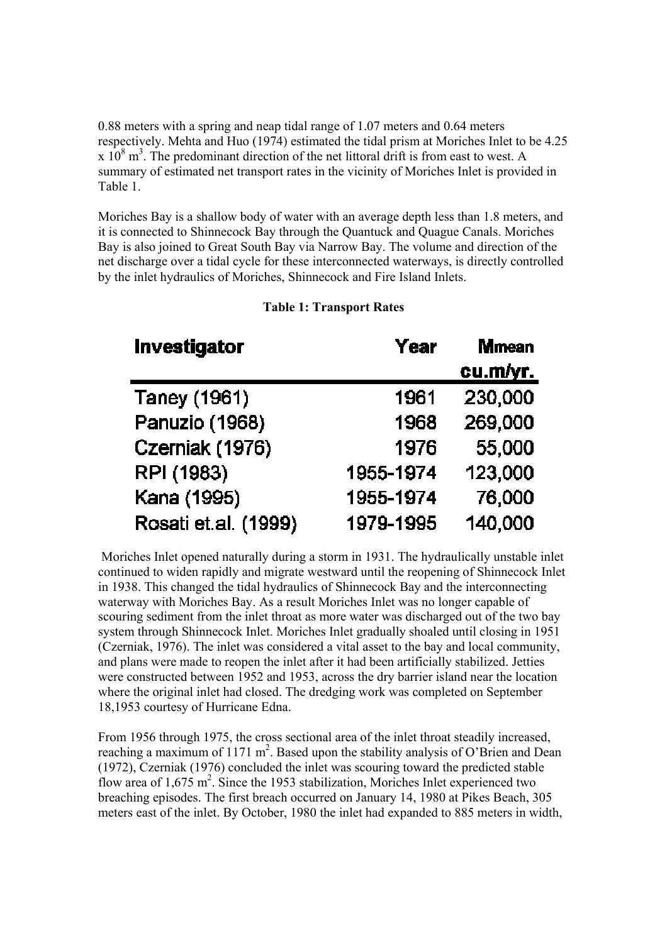0.88 meters with a spring and neap tidal range of 1.07 meters and 0.64 meters respectively. Mehta and Huo (1974) estimated the tidal prism at Moriches Inlet to be 4.25  $\propto 10^8$  m<sup>3</sup>. The predominant direction of the net littoral drift is from east to west. A summary of estimated net transport rates in the vicinity of Moriches Inlet is provided in Table 1.

Moriches Bay is a shallow body of water with an average depth less than 1.8 meters, and it is connected to Shinnecock Bay through the Quantuck and Quague Canals. Moriches Bay is also joined to Great South Bay via Narrow Bay. The volume and direction of the net discharge over a tidal cycle for these interconnected waterways, is directly controlled by the inlet hydraulics of Moriches, Shinnecock and Fire Island Inlets.

| <b>Investigator</b>  | Year      | <b>Mmean</b> |  |
|----------------------|-----------|--------------|--|
|                      |           | cu.m/yr.     |  |
| Taney (1961)         | 1961      | 230,000      |  |
| Panuzio (1968)       | 1968      | 269,000      |  |
| Czerniak (1976)      | 1976      | 55,000       |  |
| RPI (1983)           | 1955-1974 | 123,000      |  |
| Kana (1995)          | 1955-1974 | 76,000       |  |
| Rosati et.al. (1999) | 1979-1995 | 140,000      |  |

## **Table 1: Transport Rates**

 Moriches Inlet opened naturally during a storm in 1931. The hydraulically unstable inlet continued to widen rapidly and migrate westward until the reopening of Shinnecock Inlet in 1938. This changed the tidal hydraulics of Shinnecock Bay and the interconnecting waterway with Moriches Bay. As a result Moriches Inlet was no longer capable of scouring sediment from the inlet throat as more water was discharged out of the two bay system through Shinnecock Inlet. Moriches Inlet gradually shoaled until closing in 1951 (Czerniak, 1976). The inlet was considered a vital asset to the bay and local community, and plans were made to reopen the inlet after it had been artificially stabilized. Jetties were constructed between 1952 and 1953, across the dry barrier island near the location where the original inlet had closed. The dredging work was completed on September 18,1953 courtesy of Hurricane Edna.

From 1956 through 1975, the cross sectional area of the inlet throat steadily increased, reaching a maximum of  $1171 \text{ m}^2$ . Based upon the stability analysis of O'Brien and Dean (1972), Czerniak (1976) concluded the inlet was scouring toward the predicted stable flow area of  $1,675$  m<sup>2</sup>. Since the 1953 stabilization, Moriches Inlet experienced two breaching episodes. The first breach occurred on January 14, 1980 at Pikes Beach, 305 meters east of the inlet. By October, 1980 the inlet had expanded to 885 meters in width,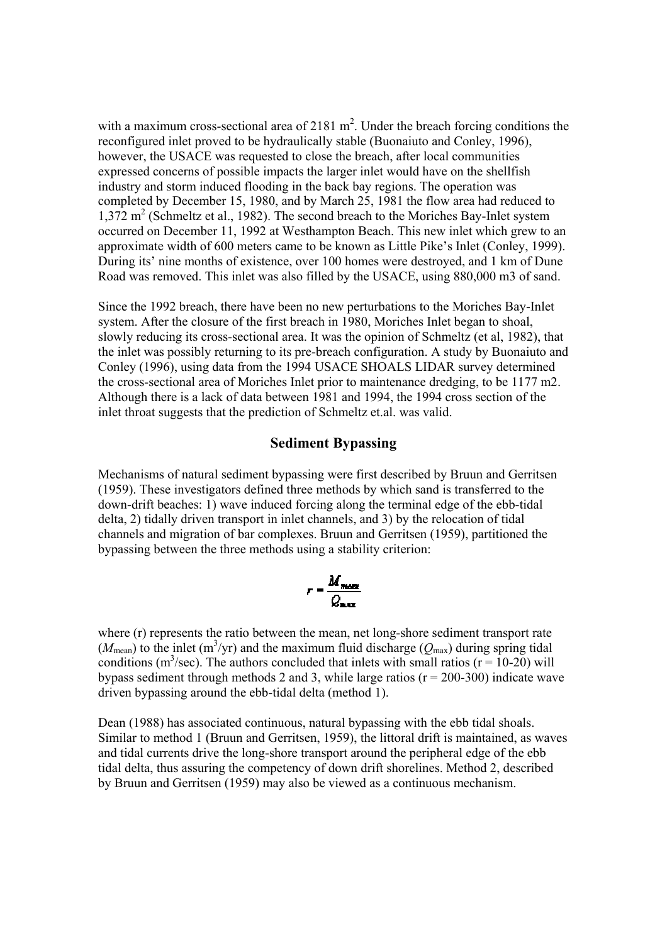with a maximum cross-sectional area of 2181  $m^2$ . Under the breach forcing conditions the reconfigured inlet proved to be hydraulically stable (Buonaiuto and Conley, 1996), however, the USACE was requested to close the breach, after local communities expressed concerns of possible impacts the larger inlet would have on the shellfish industry and storm induced flooding in the back bay regions. The operation was completed by December 15, 1980, and by March 25, 1981 the flow area had reduced to 1,372 m<sup>2</sup> (Schmeltz et al., 1982). The second breach to the Moriches Bay-Inlet system occurred on December 11, 1992 at Westhampton Beach. This new inlet which grew to an approximate width of 600 meters came to be known as Little Pike's Inlet (Conley, 1999). During its' nine months of existence, over 100 homes were destroyed, and 1 km of Dune Road was removed. This inlet was also filled by the USACE, using 880,000 m3 of sand.

Since the 1992 breach, there have been no new perturbations to the Moriches Bay-Inlet system. After the closure of the first breach in 1980, Moriches Inlet began to shoal, slowly reducing its cross-sectional area. It was the opinion of Schmeltz (et al, 1982), that the inlet was possibly returning to its pre-breach configuration. A study by Buonaiuto and Conley (1996), using data from the 1994 USACE SHOALS LIDAR survey determined the cross-sectional area of Moriches Inlet prior to maintenance dredging, to be 1177 m2. Although there is a lack of data between 1981 and 1994, the 1994 cross section of the inlet throat suggests that the prediction of Schmeltz et.al. was valid.

#### **Sediment Bypassing**

Mechanisms of natural sediment bypassing were first described by Bruun and Gerritsen (1959). These investigators defined three methods by which sand is transferred to the down-drift beaches: 1) wave induced forcing along the terminal edge of the ebb-tidal delta, 2) tidally driven transport in inlet channels, and 3) by the relocation of tidal channels and migration of bar complexes. Bruun and Gerritsen (1959), partitioned the bypassing between the three methods using a stability criterion:

$$
r = \frac{M_{mean}}{Q_{max}}
$$

where (r) represents the ratio between the mean, net long-shore sediment transport rate  $(M_{\text{mean}})$  to the inlet (m<sup>3</sup>/yr) and the maximum fluid discharge ( $Q_{\text{max}}$ ) during spring tidal conditions ( $m^3$ /sec). The authors concluded that inlets with small ratios ( $r = 10-20$ ) will bypass sediment through methods 2 and 3, while large ratios  $(r = 200-300)$  indicate wave driven bypassing around the ebb-tidal delta (method 1).

Dean (1988) has associated continuous, natural bypassing with the ebb tidal shoals. Similar to method 1 (Bruun and Gerritsen, 1959), the littoral drift is maintained, as waves and tidal currents drive the long-shore transport around the peripheral edge of the ebb tidal delta, thus assuring the competency of down drift shorelines. Method 2, described by Bruun and Gerritsen (1959) may also be viewed as a continuous mechanism.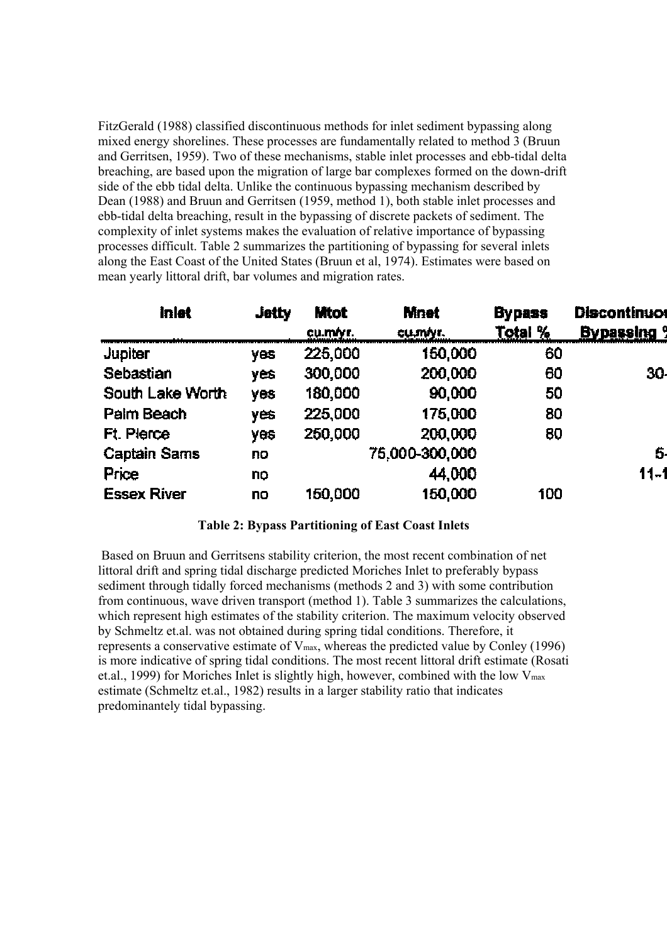FitzGerald (1988) classified discontinuous methods for inlet sediment bypassing along mixed energy shorelines. These processes are fundamentally related to method 3 (Bruun and Gerritsen, 1959). Two of these mechanisms, stable inlet processes and ebb-tidal delta breaching, are based upon the migration of large bar complexes formed on the down-drift side of the ebb tidal delta. Unlike the continuous bypassing mechanism described by Dean (1988) and Bruun and Gerritsen (1959, method 1), both stable inlet processes and ebb-tidal delta breaching, result in the bypassing of discrete packets of sediment. The complexity of inlet systems makes the evaluation of relative importance of bypassing processes difficult. Table 2 summarizes the partitioning of bypassing for several inlets along the East Coast of the United States (Bruun et al, 1974). Estimates were based on mean yearly littoral drift, bar volumes and migration rates.

| Inlet               | <b>Jetty</b> | <b>Mtot</b><br>cu.m/yr. | <b>Mnet</b><br>cu.m/yr. | <b>Bypass</b><br>Total % | <b>Discontinuor</b><br><b>Bypassing 9</b> |  |
|---------------------|--------------|-------------------------|-------------------------|--------------------------|-------------------------------------------|--|
| <b>Jupiter</b>      | <b>yes</b>   | 225,000                 | 150,000                 | 60                       |                                           |  |
| <b>Sebastian</b>    | yes          | 300,000                 | 200,000                 | 60                       | 30.                                       |  |
| South Lake Worth    | yes          | 180,000                 | 90,000                  | 50                       |                                           |  |
| Palm Beach          | <b>yes</b>   | 225,000                 | 175,000                 | 80                       |                                           |  |
| <b>Ft. Pierce</b>   | <b>yes</b>   | 250,000                 | 200,000                 | 80                       |                                           |  |
| <b>Captain Sams</b> | no           |                         | 75,000-300,000          |                          | 5.                                        |  |
| Price               | no           |                         | 44,000                  |                          | $11 - 1$                                  |  |
| <b>Essex River</b>  | no           | 150,000                 | 150,000                 | 100                      |                                           |  |

#### **Table 2: Bypass Partitioning of East Coast Inlets**

 Based on Bruun and Gerritsens stability criterion, the most recent combination of net littoral drift and spring tidal discharge predicted Moriches Inlet to preferably bypass sediment through tidally forced mechanisms (methods 2 and 3) with some contribution from continuous, wave driven transport (method 1). Table 3 summarizes the calculations, which represent high estimates of the stability criterion. The maximum velocity observed by Schmeltz et.al. was not obtained during spring tidal conditions. Therefore, it represents a conservative estimate of Vmax, whereas the predicted value by Conley (1996) is more indicative of spring tidal conditions. The most recent littoral drift estimate (Rosati et.al., 1999) for Moriches Inlet is slightly high, however, combined with the low Vmax estimate (Schmeltz et.al., 1982) results in a larger stability ratio that indicates predominantely tidal bypassing.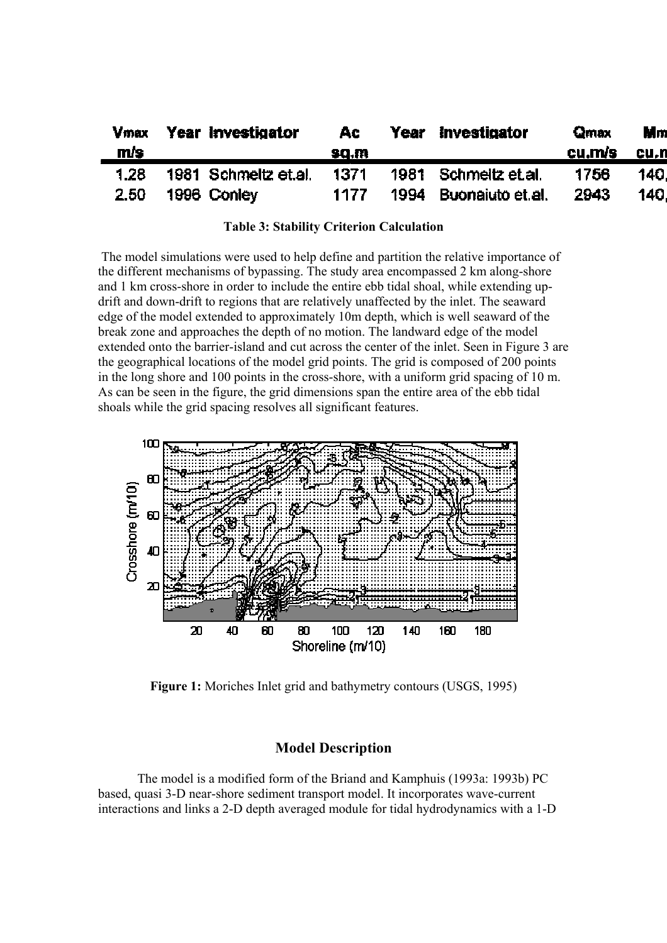| <b>Vmax</b><br>m/s | Year Investigator    | Ac.<br>sq.m | Year Investigator     | Qmax<br>cu.m/s | Mm<br>cu.n |
|--------------------|----------------------|-------------|-----------------------|----------------|------------|
| 1.28               | 1981 Schmeltz et al. | -1371       | 1981 Schmeltz et al.  | 1756           | 140I       |
| 2.50 <sub>1</sub>  | 1996 Conley          | 1177        | 1994 Buonaiuto et al. | 2943           | 140.       |

 The model simulations were used to help define and partition the relative importance of the different mechanisms of bypassing. The study area encompassed 2 km along-shore and 1 km cross-shore in order to include the entire ebb tidal shoal, while extending updrift and down-drift to regions that are relatively unaffected by the inlet. The seaward edge of the model extended to approximately 10m depth, which is well seaward of the break zone and approaches the depth of no motion. The landward edge of the model extended onto the barrier-island and cut across the center of the inlet. Seen in Figure 3 are the geographical locations of the model grid points. The grid is composed of 200 points in the long shore and 100 points in the cross-shore, with a uniform grid spacing of 10 m. As can be seen in the figure, the grid dimensions span the entire area of the ebb tidal shoals while the grid spacing resolves all significant features.



**Figure 1:** Moriches Inlet grid and bathymetry contours (USGS, 1995)

### **Model Description**

 The model is a modified form of the Briand and Kamphuis (1993a: 1993b) PC based, quasi 3-D near-shore sediment transport model. It incorporates wave-current interactions and links a 2-D depth averaged module for tidal hydrodynamics with a 1-D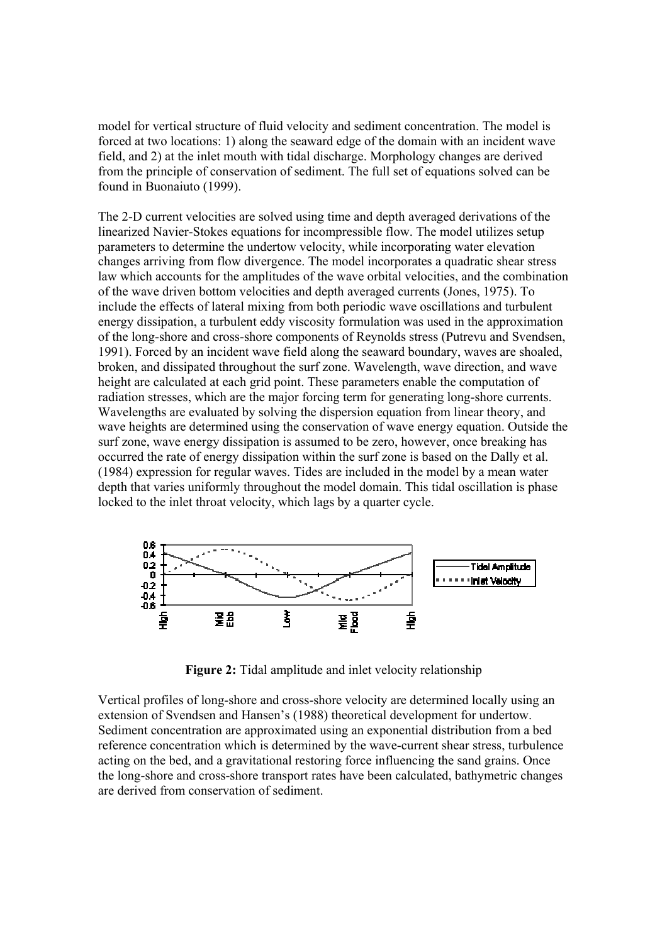model for vertical structure of fluid velocity and sediment concentration. The model is forced at two locations: 1) along the seaward edge of the domain with an incident wave field, and 2) at the inlet mouth with tidal discharge. Morphology changes are derived from the principle of conservation of sediment. The full set of equations solved can be found in Buonaiuto (1999).

The 2-D current velocities are solved using time and depth averaged derivations of the linearized Navier-Stokes equations for incompressible flow. The model utilizes setup parameters to determine the undertow velocity, while incorporating water elevation changes arriving from flow divergence. The model incorporates a quadratic shear stress law which accounts for the amplitudes of the wave orbital velocities, and the combination of the wave driven bottom velocities and depth averaged currents (Jones, 1975). To include the effects of lateral mixing from both periodic wave oscillations and turbulent energy dissipation, a turbulent eddy viscosity formulation was used in the approximation of the long-shore and cross-shore components of Reynolds stress (Putrevu and Svendsen, 1991). Forced by an incident wave field along the seaward boundary, waves are shoaled, broken, and dissipated throughout the surf zone. Wavelength, wave direction, and wave height are calculated at each grid point. These parameters enable the computation of radiation stresses, which are the major forcing term for generating long-shore currents. Wavelengths are evaluated by solving the dispersion equation from linear theory, and wave heights are determined using the conservation of wave energy equation. Outside the surf zone, wave energy dissipation is assumed to be zero, however, once breaking has occurred the rate of energy dissipation within the surf zone is based on the Dally et al. (1984) expression for regular waves. Tides are included in the model by a mean water depth that varies uniformly throughout the model domain. This tidal oscillation is phase locked to the inlet throat velocity, which lags by a quarter cycle.



**Figure 2:** Tidal amplitude and inlet velocity relationship

Vertical profiles of long-shore and cross-shore velocity are determined locally using an extension of Svendsen and Hansen's (1988) theoretical development for undertow. Sediment concentration are approximated using an exponential distribution from a bed reference concentration which is determined by the wave-current shear stress, turbulence acting on the bed, and a gravitational restoring force influencing the sand grains. Once the long-shore and cross-shore transport rates have been calculated, bathymetric changes are derived from conservation of sediment.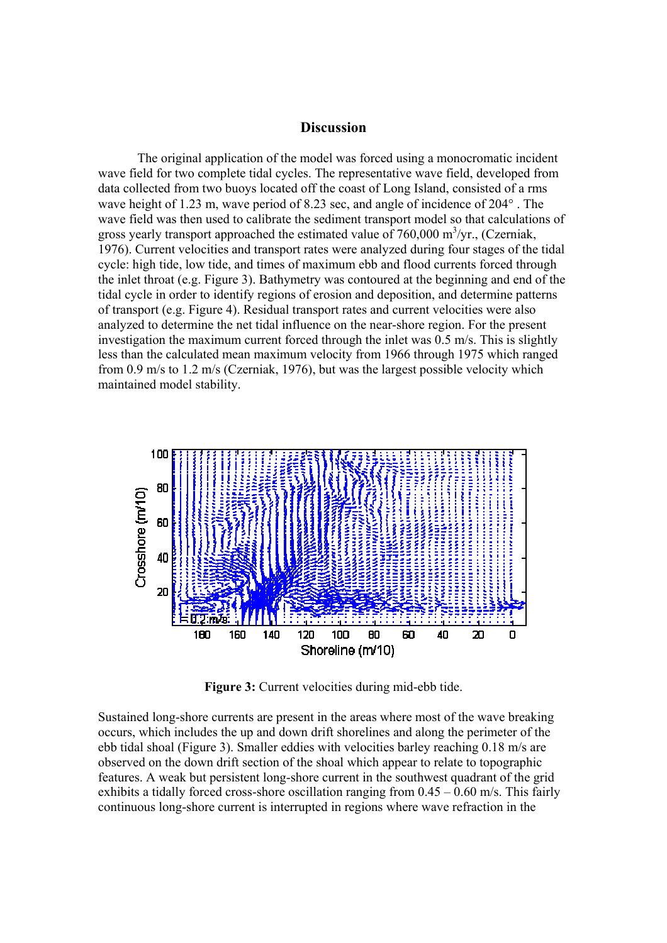#### **Discussion**

 The original application of the model was forced using a monocromatic incident wave field for two complete tidal cycles. The representative wave field, developed from data collected from two buoys located off the coast of Long Island, consisted of a rms wave height of 1.23 m, wave period of 8.23 sec, and angle of incidence of 204° . The wave field was then used to calibrate the sediment transport model so that calculations of gross yearly transport approached the estimated value of  $760,000 \text{ m}^3/\text{yr}$ ., (Czerniak, 1976). Current velocities and transport rates were analyzed during four stages of the tidal cycle: high tide, low tide, and times of maximum ebb and flood currents forced through the inlet throat (e.g. Figure 3). Bathymetry was contoured at the beginning and end of the tidal cycle in order to identify regions of erosion and deposition, and determine patterns of transport (e.g. Figure 4). Residual transport rates and current velocities were also analyzed to determine the net tidal influence on the near-shore region. For the present investigation the maximum current forced through the inlet was 0.5 m/s. This is slightly less than the calculated mean maximum velocity from 1966 through 1975 which ranged from 0.9 m/s to 1.2 m/s (Czerniak, 1976), but was the largest possible velocity which maintained model stability.



Figure 3: Current velocities during mid-ebb tide.

Sustained long-shore currents are present in the areas where most of the wave breaking occurs, which includes the up and down drift shorelines and along the perimeter of the ebb tidal shoal (Figure 3). Smaller eddies with velocities barley reaching 0.18 m/s are observed on the down drift section of the shoal which appear to relate to topographic features. A weak but persistent long-shore current in the southwest quadrant of the grid exhibits a tidally forced cross-shore oscillation ranging from  $0.45 - 0.60$  m/s. This fairly continuous long-shore current is interrupted in regions where wave refraction in the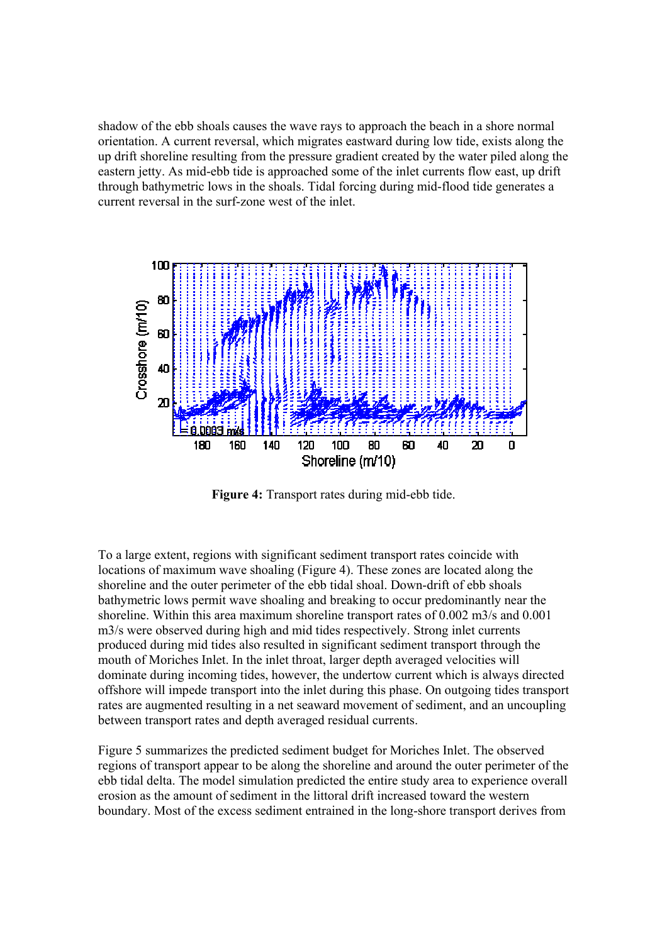shadow of the ebb shoals causes the wave rays to approach the beach in a shore normal orientation. A current reversal, which migrates eastward during low tide, exists along the up drift shoreline resulting from the pressure gradient created by the water piled along the eastern jetty. As mid-ebb tide is approached some of the inlet currents flow east, up drift through bathymetric lows in the shoals. Tidal forcing during mid-flood tide generates a current reversal in the surf-zone west of the inlet.



**Figure 4:** Transport rates during mid-ebb tide.

To a large extent, regions with significant sediment transport rates coincide with locations of maximum wave shoaling (Figure 4). These zones are located along the shoreline and the outer perimeter of the ebb tidal shoal. Down-drift of ebb shoals bathymetric lows permit wave shoaling and breaking to occur predominantly near the shoreline. Within this area maximum shoreline transport rates of 0.002 m3/s and 0.001 m3/s were observed during high and mid tides respectively. Strong inlet currents produced during mid tides also resulted in significant sediment transport through the mouth of Moriches Inlet. In the inlet throat, larger depth averaged velocities will dominate during incoming tides, however, the undertow current which is always directed offshore will impede transport into the inlet during this phase. On outgoing tides transport rates are augmented resulting in a net seaward movement of sediment, and an uncoupling between transport rates and depth averaged residual currents.

Figure 5 summarizes the predicted sediment budget for Moriches Inlet. The observed regions of transport appear to be along the shoreline and around the outer perimeter of the ebb tidal delta. The model simulation predicted the entire study area to experience overall erosion as the amount of sediment in the littoral drift increased toward the western boundary. Most of the excess sediment entrained in the long-shore transport derives from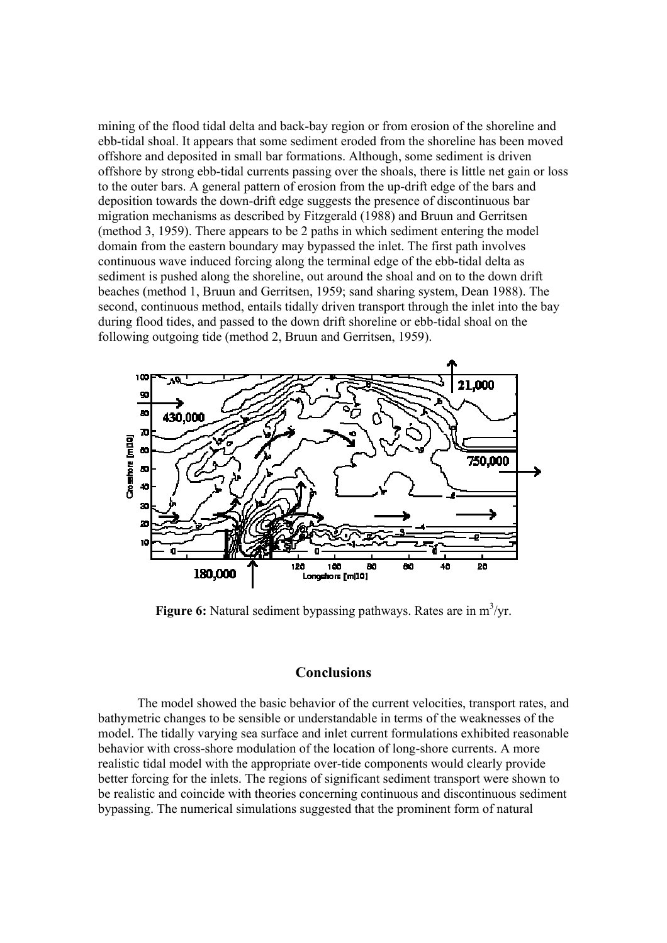mining of the flood tidal delta and back-bay region or from erosion of the shoreline and ebb-tidal shoal. It appears that some sediment eroded from the shoreline has been moved offshore and deposited in small bar formations. Although, some sediment is driven offshore by strong ebb-tidal currents passing over the shoals, there is little net gain or loss to the outer bars. A general pattern of erosion from the up-drift edge of the bars and deposition towards the down-drift edge suggests the presence of discontinuous bar migration mechanisms as described by Fitzgerald (1988) and Bruun and Gerritsen (method 3, 1959). There appears to be 2 paths in which sediment entering the model domain from the eastern boundary may bypassed the inlet. The first path involves continuous wave induced forcing along the terminal edge of the ebb-tidal delta as sediment is pushed along the shoreline, out around the shoal and on to the down drift beaches (method 1, Bruun and Gerritsen, 1959; sand sharing system, Dean 1988). The second, continuous method, entails tidally driven transport through the inlet into the bay during flood tides, and passed to the down drift shoreline or ebb-tidal shoal on the following outgoing tide (method 2, Bruun and Gerritsen, 1959).



Figure 6: Natural sediment bypassing pathways. Rates are in m<sup>3</sup>/yr.

#### **Conclusions**

 The model showed the basic behavior of the current velocities, transport rates, and bathymetric changes to be sensible or understandable in terms of the weaknesses of the model. The tidally varying sea surface and inlet current formulations exhibited reasonable behavior with cross-shore modulation of the location of long-shore currents. A more realistic tidal model with the appropriate over-tide components would clearly provide better forcing for the inlets. The regions of significant sediment transport were shown to be realistic and coincide with theories concerning continuous and discontinuous sediment bypassing. The numerical simulations suggested that the prominent form of natural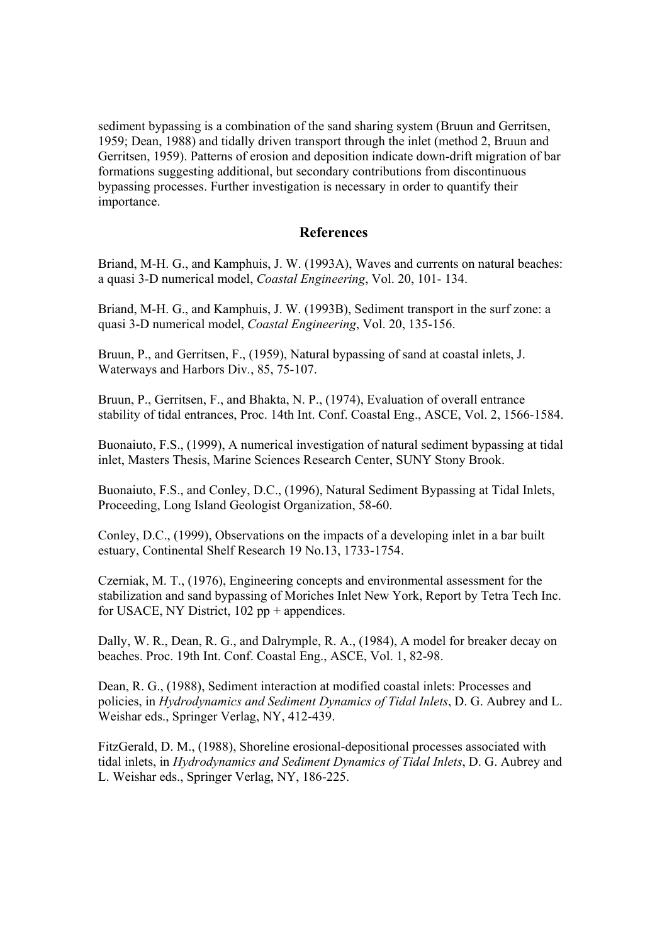sediment bypassing is a combination of the sand sharing system (Bruun and Gerritsen, 1959; Dean, 1988) and tidally driven transport through the inlet (method 2, Bruun and Gerritsen, 1959). Patterns of erosion and deposition indicate down-drift migration of bar formations suggesting additional, but secondary contributions from discontinuous bypassing processes. Further investigation is necessary in order to quantify their importance.

#### **References**

Briand, M-H. G., and Kamphuis, J. W. (1993A), Waves and currents on natural beaches: a quasi 3-D numerical model, *Coastal Engineering*, Vol. 20, 101- 134.

Briand, M-H. G., and Kamphuis, J. W. (1993B), Sediment transport in the surf zone: a quasi 3-D numerical model, *Coastal Engineering*, Vol. 20, 135-156.

Bruun, P., and Gerritsen, F., (1959), Natural bypassing of sand at coastal inlets, J. Waterways and Harbors Div*.*, 85, 75-107.

Bruun, P., Gerritsen, F., and Bhakta, N. P., (1974), Evaluation of overall entrance stability of tidal entrances, Proc. 14th Int. Conf. Coastal Eng., ASCE, Vol. 2, 1566-1584.

Buonaiuto, F.S., (1999), A numerical investigation of natural sediment bypassing at tidal inlet, Masters Thesis, Marine Sciences Research Center, SUNY Stony Brook.

Buonaiuto, F.S., and Conley, D.C., (1996), Natural Sediment Bypassing at Tidal Inlets, Proceeding, Long Island Geologist Organization, 58-60.

Conley, D.C., (1999), Observations on the impacts of a developing inlet in a bar built estuary, Continental Shelf Research 19 No.13, 1733-1754.

Czerniak, M. T., (1976), Engineering concepts and environmental assessment for the stabilization and sand bypassing of Moriches Inlet New York, Report by Tetra Tech Inc. for USACE, NY District, 102 pp + appendices.

Dally, W. R., Dean, R. G., and Dalrymple, R. A., (1984), A model for breaker decay on beaches. Proc. 19th Int. Conf. Coastal Eng., ASCE, Vol. 1, 82-98.

Dean, R. G., (1988), Sediment interaction at modified coastal inlets: Processes and policies, in *Hydrodynamics and Sediment Dynamics of Tidal Inlets*, D. G. Aubrey and L. Weishar eds., Springer Verlag, NY, 412-439.

FitzGerald, D. M., (1988), Shoreline erosional-depositional processes associated with tidal inlets, in *Hydrodynamics and Sediment Dynamics of Tidal Inlets*, D. G. Aubrey and L. Weishar eds., Springer Verlag, NY, 186-225.